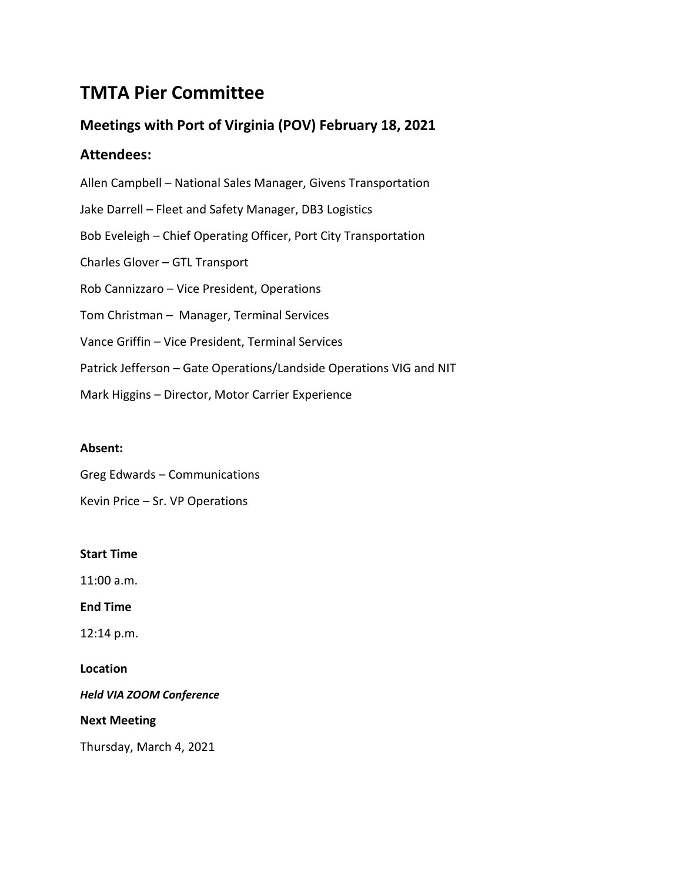# **TMTA Pier Committee**

## **Meetings with Port of Virginia (POV) February 18, 2021**

### **Attendees:**

Allen Campbell – National Sales Manager, Givens Transportation Jake Darrell – Fleet and Safety Manager, DB3 Logistics Bob Eveleigh – Chief Operating Officer, Port City Transportation Charles Glover – GTL Transport Rob Cannizzaro – Vice President, Operations Tom Christman – Manager, Terminal Services Vance Griffin – Vice President, Terminal Services Patrick Jefferson – Gate Operations/Landside Operations VIG and NIT Mark Higgins – Director, Motor Carrier Experience

### **Absent:**

Greg Edwards – Communications

Kevin Price – Sr. VP Operations

#### **Start Time**

11:00 a.m.

**End Time**

12:14 p.m.

**Location**

*Held VIA ZOOM Conference*

**Next Meeting**

Thursday, March 4, 2021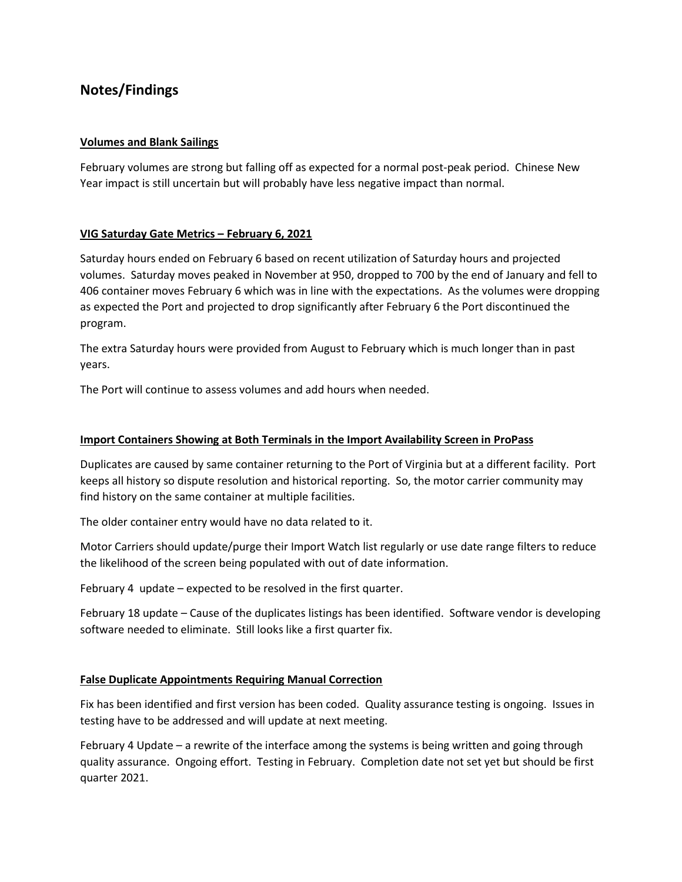### **Notes/Findings**

#### **Volumes and Blank Sailings**

February volumes are strong but falling off as expected for a normal post-peak period. Chinese New Year impact is still uncertain but will probably have less negative impact than normal.

#### **VIG Saturday Gate Metrics – February 6, 2021**

Saturday hours ended on February 6 based on recent utilization of Saturday hours and projected volumes. Saturday moves peaked in November at 950, dropped to 700 by the end of January and fell to 406 container moves February 6 which was in line with the expectations. As the volumes were dropping as expected the Port and projected to drop significantly after February 6 the Port discontinued the program.

The extra Saturday hours were provided from August to February which is much longer than in past years.

The Port will continue to assess volumes and add hours when needed.

#### **Import Containers Showing at Both Terminals in the Import Availability Screen in ProPass**

Duplicates are caused by same container returning to the Port of Virginia but at a different facility. Port keeps all history so dispute resolution and historical reporting. So, the motor carrier community may find history on the same container at multiple facilities.

The older container entry would have no data related to it.

Motor Carriers should update/purge their Import Watch list regularly or use date range filters to reduce the likelihood of the screen being populated with out of date information.

February 4 update – expected to be resolved in the first quarter.

February 18 update – Cause of the duplicates listings has been identified. Software vendor is developing software needed to eliminate. Still looks like a first quarter fix.

#### **False Duplicate Appointments Requiring Manual Correction**

Fix has been identified and first version has been coded. Quality assurance testing is ongoing. Issues in testing have to be addressed and will update at next meeting.

February 4 Update – a rewrite of the interface among the systems is being written and going through quality assurance. Ongoing effort. Testing in February. Completion date not set yet but should be first quarter 2021.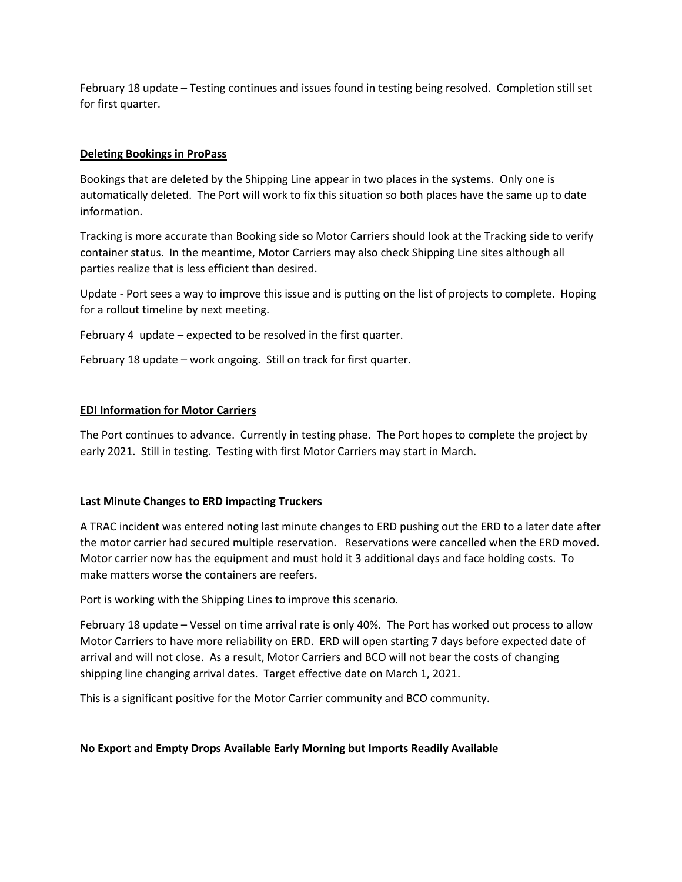February 18 update – Testing continues and issues found in testing being resolved. Completion still set for first quarter.

#### **Deleting Bookings in ProPass**

Bookings that are deleted by the Shipping Line appear in two places in the systems. Only one is automatically deleted. The Port will work to fix this situation so both places have the same up to date information.

Tracking is more accurate than Booking side so Motor Carriers should look at the Tracking side to verify container status. In the meantime, Motor Carriers may also check Shipping Line sites although all parties realize that is less efficient than desired.

Update - Port sees a way to improve this issue and is putting on the list of projects to complete. Hoping for a rollout timeline by next meeting.

February 4 update – expected to be resolved in the first quarter.

February 18 update – work ongoing. Still on track for first quarter.

#### **EDI Information for Motor Carriers**

The Port continues to advance. Currently in testing phase. The Port hopes to complete the project by early 2021. Still in testing. Testing with first Motor Carriers may start in March.

#### **Last Minute Changes to ERD impacting Truckers**

A TRAC incident was entered noting last minute changes to ERD pushing out the ERD to a later date after the motor carrier had secured multiple reservation. Reservations were cancelled when the ERD moved. Motor carrier now has the equipment and must hold it 3 additional days and face holding costs. To make matters worse the containers are reefers.

Port is working with the Shipping Lines to improve this scenario.

February 18 update – Vessel on time arrival rate is only 40%. The Port has worked out process to allow Motor Carriers to have more reliability on ERD. ERD will open starting 7 days before expected date of arrival and will not close. As a result, Motor Carriers and BCO will not bear the costs of changing shipping line changing arrival dates. Target effective date on March 1, 2021.

This is a significant positive for the Motor Carrier community and BCO community.

#### **No Export and Empty Drops Available Early Morning but Imports Readily Available**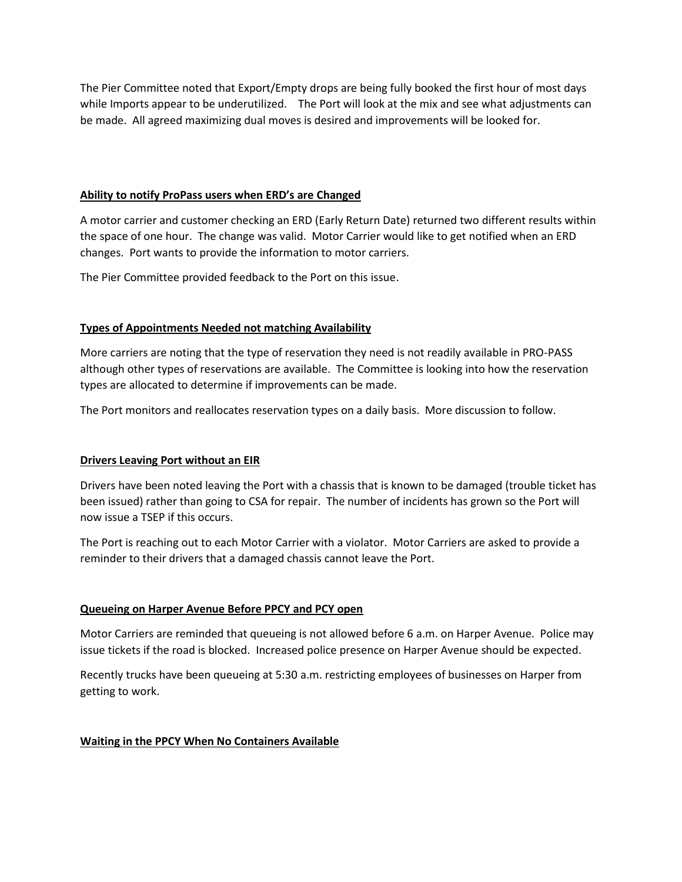The Pier Committee noted that Export/Empty drops are being fully booked the first hour of most days while Imports appear to be underutilized. The Port will look at the mix and see what adjustments can be made. All agreed maximizing dual moves is desired and improvements will be looked for.

#### **Ability to notify ProPass users when ERD's are Changed**

A motor carrier and customer checking an ERD (Early Return Date) returned two different results within the space of one hour. The change was valid. Motor Carrier would like to get notified when an ERD changes. Port wants to provide the information to motor carriers.

The Pier Committee provided feedback to the Port on this issue.

#### **Types of Appointments Needed not matching Availability**

More carriers are noting that the type of reservation they need is not readily available in PRO-PASS although other types of reservations are available. The Committee is looking into how the reservation types are allocated to determine if improvements can be made.

The Port monitors and reallocates reservation types on a daily basis. More discussion to follow.

#### **Drivers Leaving Port without an EIR**

Drivers have been noted leaving the Port with a chassis that is known to be damaged (trouble ticket has been issued) rather than going to CSA for repair. The number of incidents has grown so the Port will now issue a TSEP if this occurs.

The Port is reaching out to each Motor Carrier with a violator. Motor Carriers are asked to provide a reminder to their drivers that a damaged chassis cannot leave the Port.

#### **Queueing on Harper Avenue Before PPCY and PCY open**

Motor Carriers are reminded that queueing is not allowed before 6 a.m. on Harper Avenue. Police may issue tickets if the road is blocked. Increased police presence on Harper Avenue should be expected.

Recently trucks have been queueing at 5:30 a.m. restricting employees of businesses on Harper from getting to work.

#### **Waiting in the PPCY When No Containers Available**